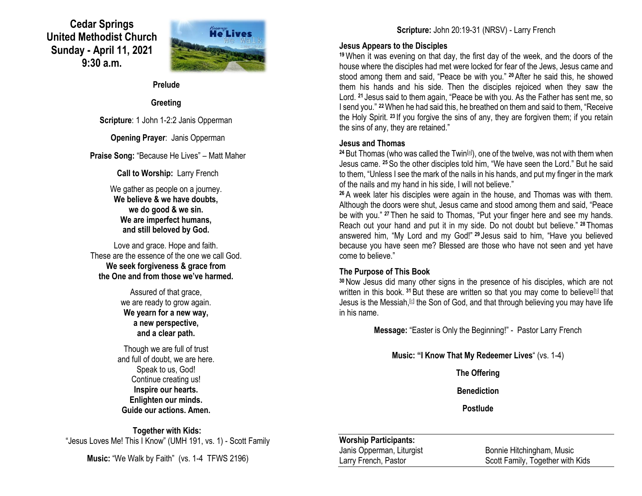# **Cedar Springs United Methodist Church Sunday - April 11, 2021 9:30 a.m.**



#### **Prelude**

## **Greeting**

**Scripture**: 1 John 1-2:2 Janis Opperman

**Opening Prayer**: Janis Opperman

**Praise Song:** "Because He Lives" – Matt Maher

**Call to Worship:** Larry French

We gather as people on a journey. **We believe & we have doubts, we do good & we sin. We are imperfect humans, and still beloved by God.**

Love and grace. Hope and faith. These are the essence of the one we call God. **We seek forgiveness & grace from the One and from those we've harmed.**

> Assured of that grace. we are ready to grow again. **We yearn for a new way, a new perspective, and a clear path.**

Though we are full of trust and full of doubt, we are here. Speak to us, God! Continue creating us! **Inspire our hearts. Enlighten our minds. Guide our actions. Amen.**

**Together with Kids:** "Jesus Loves Me! This I Know" (UMH 191, vs. 1) - Scott Family

**Music:** "We Walk by Faith" (vs. 1-4 TFWS 2196)

# **Scripture:** John 20:19-31 (NRSV) - Larry French

### **Jesus Appears to the Disciples**

**<sup>19</sup>**When it was evening on that day, the first day of the week, and the doors of the house where the disciples had met were locked for fear of the Jews, Jesus came and stood among them and said, "Peace be with you." **<sup>20</sup>**After he said this, he showed them his hands and his side. Then the disciples rejoiced when they saw the Lord. **<sup>21</sup>** Jesus said to them again, "Peace be with you. As the Father has sent me, so I send you." **<sup>22</sup>**When he had said this, he breathed on them and said to them, "Receive the Holy Spirit. **<sup>23</sup>** If you forgive the sins of any, they are forgiven them; if you retain the sins of any, they are retained."

### **Jesus and Thomas**

<sup>24</sup> But Thomas (who was called the Twin<sup>[\[a\]](https://www.biblegateway.com/passage/?search=John+20%3A19-31&version=NRSV#fen-NRSV-26881a)</sup>), one of the twelve, was not with them when Jesus came. **<sup>25</sup>**So the other disciples told him, "We have seen the Lord." But he said to them, "Unless I see the mark of the nails in his hands, and put my finger in the mark of the nails and my hand in his side, I will not believe."

**<sup>26</sup>** A week later his disciples were again in the house, and Thomas was with them. Although the doors were shut, Jesus came and stood among them and said, "Peace be with you." **<sup>27</sup>** Then he said to Thomas, "Put your finger here and see my hands. Reach out your hand and put it in my side. Do not doubt but believe." **<sup>28</sup>** Thomas answered him, "My Lord and my God!" **<sup>29</sup>** Jesus said to him, "Have you believed because you have seen me? Blessed are those who have not seen and yet have come to believe."

### **The Purpose of This Book**

**<sup>30</sup>**Now Jesus did many other signs in the presence of his disciples, which are not written in this book. <sup>31</sup> But these are written so that you may come to believe<sup>[\[b\]](https://www.biblegateway.com/passage/?search=John+20%3A19-31&version=NRSV#fen-NRSV-26888b)</sup> that Jesus is the Messiah, <sup>c the</sup> Son of God, and that through believing you may have life in his name.

**Message:** "Easter is Only the Beginning!" - Pastor Larry French

**Music: "I Know That My Redeemer Lives**" (vs. 1-4)

**The Offering**

**Benediction**

**Postlude**

#### **Worship Participants:**

Janis Opperman, Liturgist Bonnie Hitchingham, Music Larry French, Pastor **Scott Family, Together with Kids**